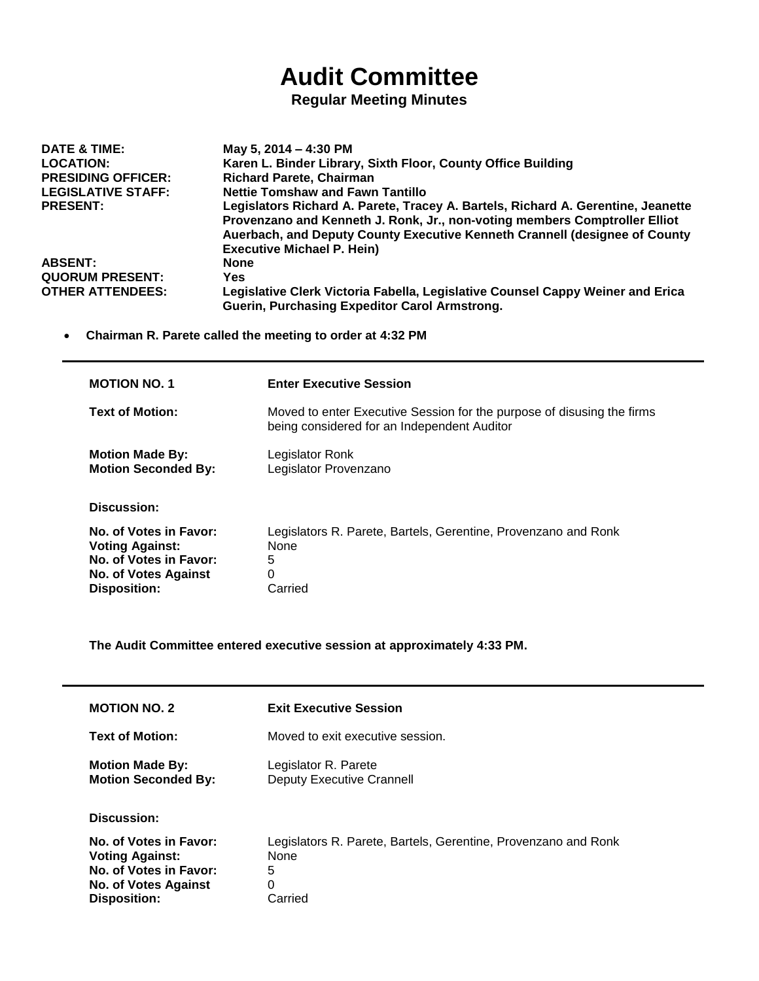## **Audit Committee**

## **Regular Meeting Minutes**

| DATE & TIME:              | May 5, 2014 – 4:30 PM                                                            |
|---------------------------|----------------------------------------------------------------------------------|
| <b>LOCATION:</b>          | Karen L. Binder Library, Sixth Floor, County Office Building                     |
| <b>PRESIDING OFFICER:</b> | <b>Richard Parete, Chairman</b>                                                  |
| <b>LEGISLATIVE STAFF:</b> | <b>Nettie Tomshaw and Fawn Tantillo</b>                                          |
| <b>PRESENT:</b>           | Legislators Richard A. Parete, Tracey A. Bartels, Richard A. Gerentine, Jeanette |
|                           | Provenzano and Kenneth J. Ronk, Jr., non-voting members Comptroller Elliot       |
|                           | Auerbach, and Deputy County Executive Kenneth Crannell (designee of County       |
|                           | <b>Executive Michael P. Hein)</b>                                                |
| <b>ABSENT:</b>            | <b>None</b>                                                                      |
| <b>QUORUM PRESENT:</b>    | Yes.                                                                             |
| <b>OTHER ATTENDEES:</b>   | Legislative Clerk Victoria Fabella, Legislative Counsel Cappy Weiner and Erica   |
|                           | Guerin, Purchasing Expeditor Carol Armstrong.                                    |

**Chairman R. Parete called the meeting to order at 4:32 PM**

| <b>MOTION NO. 1</b>                                                                                                              | <b>Enter Executive Session</b>                                                                                        |
|----------------------------------------------------------------------------------------------------------------------------------|-----------------------------------------------------------------------------------------------------------------------|
| <b>Text of Motion:</b>                                                                                                           | Moved to enter Executive Session for the purpose of disusing the firms<br>being considered for an Independent Auditor |
| <b>Motion Made By:</b><br><b>Motion Seconded By:</b>                                                                             | Legislator Ronk<br>Legislator Provenzano                                                                              |
| Discussion:                                                                                                                      |                                                                                                                       |
| No. of Votes in Favor:<br><b>Voting Against:</b><br>No. of Votes in Favor:<br><b>No. of Votes Against</b><br><b>Disposition:</b> | Legislators R. Parete, Bartels, Gerentine, Provenzano and Ronk<br><b>None</b><br>5<br>0<br>Carried                    |

**The Audit Committee entered executive session at approximately 4:33 PM.**

| <b>MOTION NO. 2</b>                                                                                                              | <b>Exit Executive Session</b>                                                                      |
|----------------------------------------------------------------------------------------------------------------------------------|----------------------------------------------------------------------------------------------------|
| <b>Text of Motion:</b>                                                                                                           | Moved to exit executive session.                                                                   |
| <b>Motion Made By:</b><br><b>Motion Seconded By:</b>                                                                             | Legislator R. Parete<br><b>Deputy Executive Crannell</b>                                           |
| <b>Discussion:</b>                                                                                                               |                                                                                                    |
| No. of Votes in Favor:<br><b>Voting Against:</b><br>No. of Votes in Favor:<br><b>No. of Votes Against</b><br><b>Disposition:</b> | Legislators R. Parete, Bartels, Gerentine, Provenzano and Ronk<br><b>None</b><br>5<br>0<br>Carried |